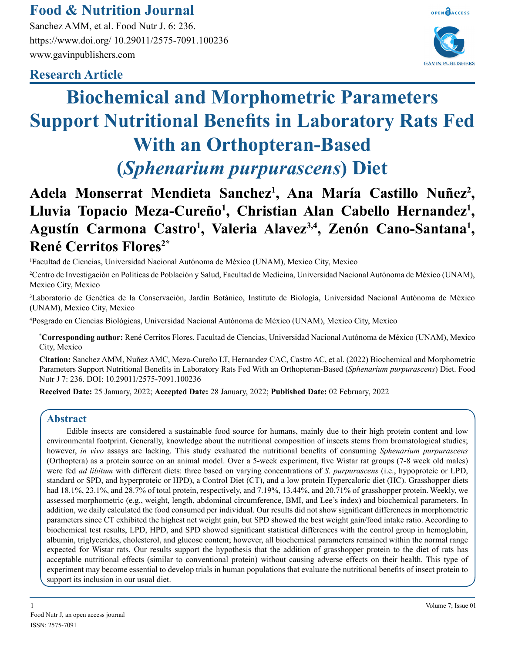# **Food & Nutrition Journal**

Sanchez AMM, et al. Food Nutr J. 6: 236. https://www.doi.org/ 10.29011/2575-7091.100236 www.gavinpublishers.com



# **Research Article**

# **Biochemical and Morphometric Parameters Support Nutritional Benefits in Laboratory Rats Fed With an Orthopteran-Based (***Sphenarium purpurascens***) Diet**

# **Adela Monserrat Mendieta Sanchez1 , Ana María Castillo Nuñez2 , Lluvia Topacio Meza-Cureño<sup>1</sup> , Christian Alan Cabello Hernandez<sup>1</sup> ,**  Agustín Carmona Castro<sup>1</sup>, Valeria Alavez<sup>3,4</sup>, Zenón Cano-Santana<sup>1</sup>, **René Cerritos Flores2\***

1 Facultad de Ciencias, Universidad Nacional Autónoma de México (UNAM), Mexico City, Mexico

2 Centro de Investigación en Políticas de Población y Salud, Facultad de Medicina, Universidad Nacional Autónoma de México (UNAM), Mexico City, Mexico

3 Laboratorio de Genética de la Conservación, Jardín Botánico, Instituto de Biología, Universidad Nacional Autónoma de México (UNAM), Mexico City, Mexico

4 Posgrado en Ciencias Biológicas, Universidad Nacional Autónoma de México (UNAM), Mexico City, Mexico

**\* Corresponding author:** René Cerritos Flores, Facultad de Ciencias, Universidad Nacional Autónoma de México (UNAM), Mexico City, Mexico

**Citation:** Sanchez AMM, Nuñez AMC, Meza-Cureño LT, Hernandez CAC, Castro AC, et al. (2022) Biochemical and Morphometric Parameters Support Nutritional Benefits in Laboratory Rats Fed With an Orthopteran-Based (*Sphenarium purpurascens*) Diet. Food Nutr J 7: 236. DOI: 10.29011/2575-7091.100236

**Received Date:** 25 January, 2022; **Accepted Date:** 28 January, 2022; **Published Date:** 02 February, 2022

## **Abstract**

Edible insects are considered a sustainable food source for humans, mainly due to their high protein content and low environmental footprint. Generally, knowledge about the nutritional composition of insects stems from bromatological studies; however, *in vivo* assays are lacking. This study evaluated the nutritional benefits of consuming *Sphenarium purpurascens* (Orthoptera) as a protein source on an animal model. Over a 5-week experiment, five Wistar rat groups (7-8 week old males) were fed *ad libitum* with different diets: three based on varying concentrations of *S. purpurascens* (i.e., hypoproteic or LPD, standard or SPD, and hyperproteic or HPD), a Control Diet (CT), and a low protein Hypercaloric diet (HC). Grasshopper diets had [18.1%](file:///C:/Users/phani/Desktop/../../RENE/Downloads/18.1), [23.1](file:///C:/Users/phani/Desktop/../../RENE/Downloads/23.1)%, and [28.7%](file:///C:/Users/phani/Desktop/../../RENE/Downloads/28.7) of total protein, respectively, and [7.19](file:///C:/Users/phani/Desktop/../../RENE/Downloads/7.19)%, [13.44%](file:///C:/Users/phani/Desktop/../../RENE/Downloads/13.44), and [20.71](file:///C:/Users/phani/Desktop/../../RENE/Downloads/20.71)% of grasshopper protein. Weekly, we assessed morphometric (e.g., weight, length, abdominal circumference, BMI, and Lee's index) and biochemical parameters. In addition, we daily calculated the food consumed per individual. Our results did not show significant differences in morphometric parameters since CT exhibited the highest net weight gain, but SPD showed the best weight gain/food intake ratio. According to biochemical test results, LPD, HPD, and SPD showed significant statistical differences with the control group in hemoglobin, albumin, triglycerides, cholesterol, and glucose content; however, all biochemical parameters remained within the normal range expected for Wistar rats. Our results support the hypothesis that the addition of grasshopper protein to the diet of rats has acceptable nutritional effects (similar to conventional protein) without causing adverse effects on their health. This type of experiment may become essential to develop trials in human populations that evaluate the nutritional benefits of insect protein to support its inclusion in our usual diet.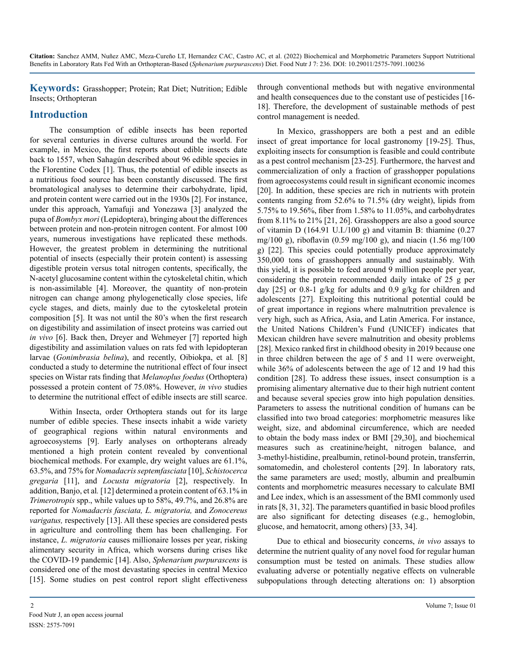**Keywords:** Grasshopper; Protein; Rat Diet; Nutrition; Edible Insects; Orthopteran

## **Introduction**

The consumption of edible insects has been reported for several centuries in diverse cultures around the world. For example, in Mexico, the first reports about edible insects date back to 1557, when Sahagún described about 96 edible species in the Florentine Codex [1]. Thus, the potential of edible insects as a nutritious food source has been constantly discussed. The first bromatological analyses to determine their carbohydrate, lipid, and protein content were carried out in the 1930s [2]. For instance, under this approach, Yamafuji and Yonezawa [3] analyzed the pupa of *Bombyx mori* (Lepidoptera), bringing about the differences between protein and non-protein nitrogen content. For almost 100 years, numerous investigations have replicated these methods. However, the greatest problem in determining the nutritional potential of insects (especially their protein content) is assessing digestible protein versus total nitrogen contents, specifically, the N-acetyl glucosamine content within the cytoskeletal chitin, which is non-assimilable [4]. Moreover, the quantity of non-protein nitrogen can change among phylogenetically close species, life cycle stages, and diets, mainly due to the cytoskeletal protein composition [5]. It was not until the 80's when the first research on digestibility and assimilation of insect proteins was carried out *in vivo* [6]. Back then, Dreyer and Wehmeyer [7] reported high digestibility and assimilation values on rats fed with lepidopteran larvae (*Gonimbrasia belina*), and recently, Oibiokpa, et al*.* [8] conducted a study to determine the nutritional effect of four insect species on Wistar rats finding that *Melanoplus foedus* (Orthoptera) possessed a protein content of 75.08%. However, *in vivo* studies to determine the nutritional effect of edible insects are still scarce.

Within Insecta, order Orthoptera stands out for its large number of edible species. These insects inhabit a wide variety of geographical regions within natural environments and agroecosystems [9]. Early analyses on orthopterans already mentioned a high protein content revealed by conventional biochemical methods. For example, dry weight values are 61.1%, 63.5%, and 75% for *Nomadacris septemfasciata* [10], *Schistocerca gregaria* [11], and *Locusta migratoria* [2], respectively. In addition, Banjo, et al*.* [12] determined a protein content of 63.1% in *Trimerotropis* spp., while values up to 58%, 49.7%, and 26.8% are reported for *Nomadacris fasciata, L. migratoria,* and *Zonocereus varigatus,* respectively [13]. All these species are considered pests in agriculture and controlling them has been challenging. For instance, *L. migratoria* causes millionaire losses per year, risking alimentary security in Africa, which worsens during crises like the COVID-19 pandemic [14]. Also, *Sphenarium purpurascens* is considered one of the most devastating species in central Mexico [15]. Some studies on pest control report slight effectiveness

through conventional methods but with negative environmental and health consequences due to the constant use of pesticides [16- 18]. Therefore, the development of sustainable methods of pest control management is needed.

In Mexico, grasshoppers are both a pest and an edible insect of great importance for local gastronomy [19-25]. Thus, exploiting insects for consumption is feasible and could contribute as a pest control mechanism [23-25]. Furthermore, the harvest and commercialization of only a fraction of grasshopper populations from agroecosystems could result in significant economic incomes [20]. In addition, these species are rich in nutrients with protein contents ranging from 52.6% to 71.5% (dry weight), lipids from 5.75% to 19.56%, fiber from 1.58% to 11.05%, and carbohydrates from 8.11% to 21% [21, 26]. Grasshoppers are also a good source of vitamin D  $(164.91 \text{ U} \cdot \text{I}/100 \text{ g})$  and vitamin B: thiamine  $(0.27$ mg/100 g), riboflavin (0.59 mg/100 g), and niacin (1.56 mg/100 g) [22]. This species could potentially produce approximately 350,000 tons of grasshoppers annually and sustainably. With this yield, it is possible to feed around 9 million people per year, considering the protein recommended daily intake of 25 g per day [25] or 0.8-1 g/kg for adults and 0.9 g/kg for children and adolescents [27]. Exploiting this nutritional potential could be of great importance in regions where malnutrition prevalence is very high, such as Africa, Asia, and Latin America. For instance, the United Nations Children's Fund (UNICEF) indicates that Mexican children have severe malnutrition and obesity problems [28]. Mexico ranked first in childhood obesity in 2019 because one in three children between the age of 5 and 11 were overweight, while 36% of adolescents between the age of 12 and 19 had this condition [28]. To address these issues, insect consumption is a promising alimentary alternative due to their high nutrient content and because several species grow into high population densities. Parameters to assess the nutritional condition of humans can be classified into two broad categories: morphometric measures like weight, size, and abdominal circumference, which are needed to obtain the body mass index or BMI [29,30], and biochemical measures such as creatinine/height, nitrogen balance, and 3-methyl-histidine, prealbumin, retinol-bound protein, transferrin, somatomedin, and cholesterol contents [29]. In laboratory rats, the same parameters are used; mostly, albumin and prealbumin contents and morphometric measures necessary to calculate BMI and Lee index, which is an assessment of the BMI commonly used in rats [8, 31, 32]. The parameters quantified in basic blood profiles are also significant for detecting diseases (e.g., hemoglobin, glucose, and hematocrit, among others) [33, 34].

Due to ethical and biosecurity concerns, *in vivo* assays to determine the nutrient quality of any novel food for regular human consumption must be tested on animals. These studies allow evaluating adverse or potentially negative effects on vulnerable subpopulations through detecting alterations on: 1) absorption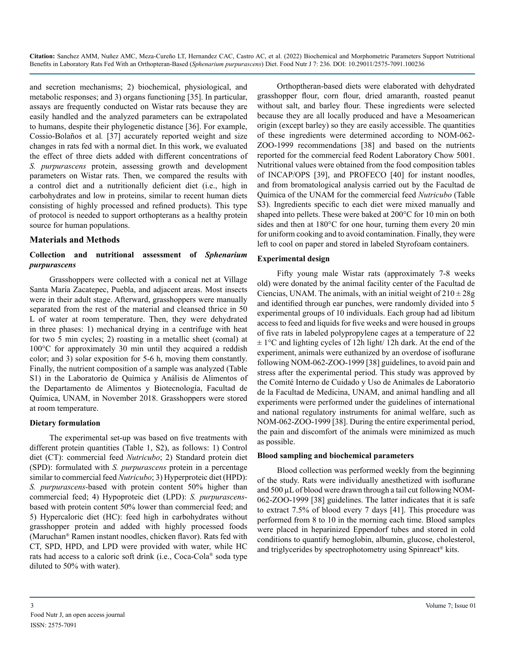and secretion mechanisms; 2) biochemical, physiological, and metabolic responses; and 3) organs functioning [35]. In particular, assays are frequently conducted on Wistar rats because they are easily handled and the analyzed parameters can be extrapolated to humans, despite their phylogenetic distance [36]. For example, Cossio-Bolaños et al*.* [37] accurately reported weight and size changes in rats fed with a normal diet. In this work, we evaluated the effect of three diets added with different concentrations of *S. purpurascens* protein, assessing growth and development parameters on Wistar rats. Then, we compared the results with a control diet and a nutritionally deficient diet (i.e., high in carbohydrates and low in proteins, similar to recent human diets consisting of highly processed and refined products). This type of protocol is needed to support orthopterans as a healthy protein source for human populations.

#### **Materials and Methods**

#### **Collection and nutritional assessment of** *Sphenarium purpurascens*

Grasshoppers were collected with a conical net at Village Santa María Zacatepec, Puebla, and adjacent areas. Most insects were in their adult stage. Afterward, grasshoppers were manually separated from the rest of the material and cleansed thrice in 50 L of water at room temperature. Then, they were dehydrated in three phases: 1) mechanical drying in a centrifuge with heat for two 5 min cycles; 2) roasting in a metallic sheet (comal) at 100°C for approximately 30 min until they acquired a reddish color; and 3) solar exposition for 5-6 h, moving them constantly. Finally, the nutrient composition of a sample was analyzed (Table S1) in the Laboratorio de Química y Análisis de Alimentos of the Departamento de Alimentos y Biotecnología, Facultad de Química, UNAM, in November 2018. Grasshoppers were stored at room temperature.

#### **Dietary formulation**

The experimental set-up was based on five treatments with different protein quantities (Table 1, S2), as follows: 1) Control diet (CT): commercial feed *Nutricubo*; 2) Standard protein diet (SPD): formulated with *S. purpurascens* protein in a percentage similar to commercial feed *Nutricubo*; 3) Hyperproteic diet (HPD): *S. purpurascens-*based with protein content 50% higher than commercial feed; 4) Hypoproteic diet (LPD): *S. purpurascens*based with protein content 50% lower than commercial feed; and 5) Hypercaloric diet (HC): feed high in carbohydrates without grasshopper protein and added with highly processed foods (Maruchan® Ramen instant noodles, chicken flavor). Rats fed with CT, SPD, HPD, and LPD were provided with water, while HC rats had access to a caloric soft drink (i.e., Coca-Cola® soda type diluted to 50% with water).

Orthoptheran-based diets were elaborated with dehydrated grasshopper flour, corn flour, dried amaranth, roasted peanut without salt, and barley flour. These ingredients were selected because they are all locally produced and have a Mesoamerican origin (except barley) so they are easily accessible. The quantities of these ingredients were determined according to NOM-062- ZOO-1999 recommendations [38] and based on the nutrients reported for the commercial feed Rodent Laboratory Chow 5001. Nutritional values were obtained from the food composition tables of INCAP/OPS [39], and PROFECO [40] for instant noodles, and from bromatological analysis carried out by the Facultad de Química of the UNAM for the commercial feed *Nutricubo* (Table S3). Ingredients specific to each diet were mixed manually and shaped into pellets. These were baked at 200°C for 10 min on both sides and then at 180°C for one hour, turning them every 20 min for uniform cooking and to avoid contamination. Finally, they were left to cool on paper and stored in labeled Styrofoam containers.

#### **Experimental design**

Fifty young male Wistar rats (approximately 7-8 weeks old) were donated by the animal facility center of the Facultad de Ciencias, UNAM. The animals, with an initial weight of  $210 \pm 28$ g and identified through ear punches, were randomly divided into 5 experimental groups of 10 individuals. Each group had ad libitum access to feed and liquids for five weeks and were housed in groups of five rats in labeled polypropylene cages at a temperature of 22  $\pm 1$ °C and lighting cycles of 12h light/ 12h dark. At the end of the experiment, animals were euthanized by an overdose of isoflurane following NOM-062-ZOO-1999 [38] guidelines, to avoid pain and stress after the experimental period. This study was approved by the Comité Interno de Cuidado y Uso de Animales de Laboratorio de la Facultad de Medicina, UNAM, and animal handling and all experiments were performed under the guidelines of international and national regulatory instruments for animal welfare, such as NOM-062-ZOO-1999 [38]. During the entire experimental period, the pain and discomfort of the animals were minimized as much as possible.

#### **Blood sampling and biochemical parameters**

Blood collection was performed weekly from the beginning of the study. Rats were individually anesthetized with isoflurane and 500 µL of blood were drawn through a tail cut following NOM-062-ZOO-1999 [38] guidelines. The latter indicates that it is safe to extract 7.5% of blood every 7 days [41]. This procedure was performed from 8 to 10 in the morning each time. Blood samples were placed in heparinized Eppendorf tubes and stored in cold conditions to quantify hemoglobin, albumin, glucose, cholesterol, and triglycerides by spectrophotometry using Spinreact® kits.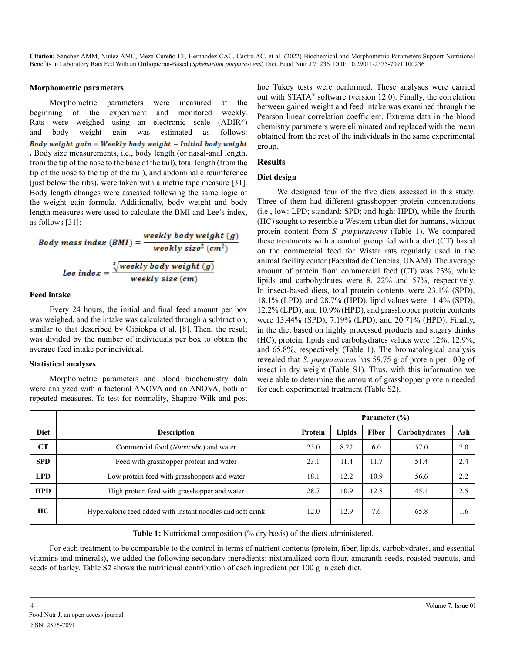#### **Morphometric parameters**

Morphometric parameters were measured at the beginning of the experiment and monitored weekly. Rats were weighed using an electronic scale (ADIR®) and body weight gain was estimated as follows: Body weight  $gain = \nWekly body weight - Initial body weight$ **.** Body size measurements, i.e., body length (or nasal-anal length, from the tip of the nose to the base of the tail), total length (from the tip of the nose to the tip of the tail), and abdominal circumference (just below the ribs), were taken with a metric tape measure [31]. Body length changes were assessed following the same logic of the weight gain formula. Additionally, body weight and body length measures were used to calculate the BMI and Lee's index, as follows [31]:

Body mass index 
$$
(BMI)
$$
 = 
$$
\frac{weight(y)}{weakly size^{2}(cm^{2})}
$$
  
Lee index = 
$$
\frac{\sqrt[3]{weakly body weight(g)}}{weakly size (cm)}
$$

#### **Feed intake**

Every 24 hours, the initial and final feed amount per box was weighed, and the intake was calculated through a subtraction, similar to that described by Oibiokpa et al. [8]. Then, the result was divided by the number of individuals per box to obtain the average feed intake per individual.

#### **Statistical analyses**

Morphometric parameters and blood biochemistry data were analyzed with a factorial ANOVA and an ANOVA, both of repeated measures. To test for normality, Shapiro-Wilk and post

hoc Tukey tests were performed. These analyses were carried out with STATA® software (version 12.0). Finally, the correlation between gained weight and feed intake was examined through the Pearson linear correlation coefficient. Extreme data in the blood chemistry parameters were eliminated and replaced with the mean obtained from the rest of the individuals in the same experimental group.

#### **Results**

#### **Diet design**

We designed four of the five diets assessed in this study. Three of them had different grasshopper protein concentrations (i.e., low: LPD; standard: SPD; and high: HPD), while the fourth (HC) sought to resemble a Western urban diet for humans, without protein content from *S. purpurascens* (Table 1). We compared these treatments with a control group fed with a diet (CT) based on the commercial feed for Wistar rats regularly used in the animal facility center (Facultad de Ciencias, UNAM). The average amount of protein from commercial feed (CT) was 23%, while lipids and carbohydrates were 8. 22% and 57%, respectively. In insect-based diets, total protein contents were 23.1% (SPD), 18.1% (LPD), and 28.7% (HPD), lipid values were 11.4% (SPD), 12.2% (LPD), and 10.9% (HPD), and grasshopper protein contents were 13.44% (SPD), 7.19% (LPD), and 20.71% (HPD). Finally, in the diet based on highly processed products and sugary drinks (HC), protein, lipids and carbohydrates values were 12%, 12.9%, and 65.8%, respectively (Table 1). The bromatological analysis revealed that *S. purpurascens* has 59.75 g of protein per 100g of insect in dry weight (Table S1). Thus, with this information we were able to determine the amount of grasshopper protein needed for each experimental treatment (Table S2).

|             |                                                             | Parameter $(\% )$ |        |       |               |     |
|-------------|-------------------------------------------------------------|-------------------|--------|-------|---------------|-----|
| <b>Diet</b> | <b>Description</b>                                          | Protein           | Lipids | Fiber | Carbohydrates | Ash |
| CT          | Commercial food (Nutricubo) and water                       | 23.0              | 8.22   | 6.0   | 57.0          | 7.0 |
| <b>SPD</b>  | Feed with grasshopper protein and water                     |                   | 11.4   | 11.7  | 51.4          | 2.4 |
| <b>LPD</b>  | Low protein feed with grasshoppers and water                |                   | 12.2   | 10.9  | 56.6          | 2.2 |
| <b>HPD</b>  | High protein feed with grasshopper and water                |                   | 10.9   | 12.8  | 45.1          | 2.5 |
| HС          | Hypercaloric feed added with instant noodles and soft drink |                   | 12.9   | 7.6   | 65.8          | 1.6 |

Table 1: Nutritional composition (% dry basis) of the diets administered.

For each treatment to be comparable to the control in terms of nutrient contents (protein, fiber, lipids, carbohydrates, and essential vitamins and minerals), we added the following secondary ingredients: nixtamalized corn flour, amaranth seeds, roasted peanuts, and seeds of barley. Table S2 shows the nutritional contribution of each ingredient per 100 g in each diet.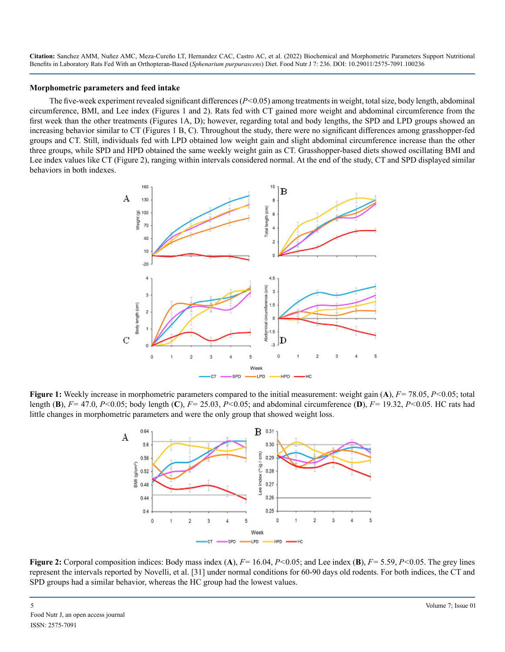#### **Morphometric parameters and feed intake**

The five-week experiment revealed significant differences (*P<*0.05) among treatments in weight, total size, body length, abdominal circumference, BMI, and Lee index (Figures 1 and 2). Rats fed with CT gained more weight and abdominal circumference from the first week than the other treatments (Figures 1A, D); however, regarding total and body lengths, the SPD and LPD groups showed an increasing behavior similar to CT (Figures 1 B, C). Throughout the study, there were no significant differences among grasshopper-fed groups and CT. Still, individuals fed with LPD obtained low weight gain and slight abdominal circumference increase than the other three groups, while SPD and HPD obtained the same weekly weight gain as CT. Grasshopper-based diets showed oscillating BMI and Lee index values like CT (Figure 2), ranging within intervals considered normal. At the end of the study, CT and SPD displayed similar behaviors in both indexes.



**Figure 1:** Weekly increase in morphometric parameters compared to the initial measurement: weight gain (**A**), *F=* 78.05, *P<*0.05; total length (**B**), *F=* 47.0, *P<*0.05; body length (**C**), *F=* 25.03, *P<*0.05; and abdominal circumference (**D**), *F=* 19.32, *P<*0.05. HC rats had little changes in morphometric parameters and were the only group that showed weight loss.



**Figure 2:** Corporal composition indices: Body mass index (**A**), *F=* 16.04, *P<*0.05; and Lee index (**B**), *F=* 5.59, *P<*0.05. The grey lines represent the intervals reported by Novelli, et al. [31] under normal conditions for 60-90 days old rodents. For both indices, the CT and SPD groups had a similar behavior, whereas the HC group had the lowest values.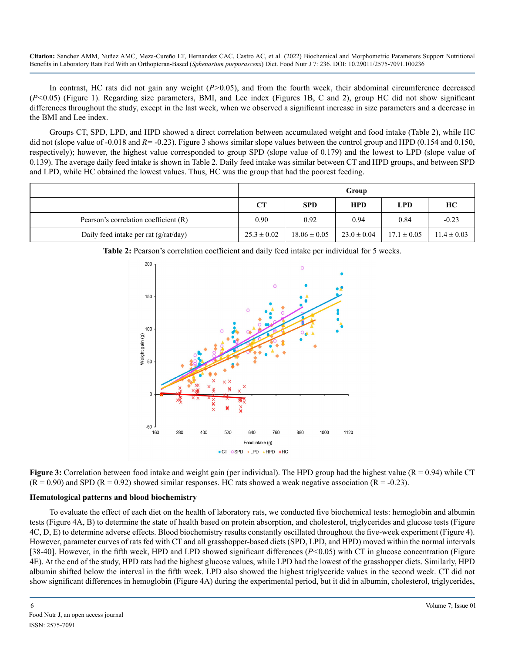In contrast, HC rats did not gain any weight (*P>*0.05), and from the fourth week, their abdominal circumference decreased (*P<*0.05) (Figure 1). Regarding size parameters, BMI, and Lee index (Figures 1B, C and 2), group HC did not show significant differences throughout the study, except in the last week, when we observed a significant increase in size parameters and a decrease in the BMI and Lee index.

Groups CT, SPD, LPD, and HPD showed a direct correlation between accumulated weight and food intake (Table 2), while HC did not (slope value of -0.018 and *R=* -0.23). Figure 3 shows similar slope values between the control group and HPD (0.154 and 0.150, respectively); however, the highest value corresponded to group SPD (slope value of 0.179) and the lowest to LPD (slope value of 0.139). The average daily feed intake is shown in Table 2. Daily feed intake was similar between CT and HPD groups, and between SPD and LPD, while HC obtained the lowest values. Thus, HC was the group that had the poorest feeding.

|                                       | Group           |                  |                 |                 |                 |
|---------------------------------------|-----------------|------------------|-----------------|-----------------|-----------------|
|                                       | <b>CT</b>       | <b>SPD</b>       | <b>HPD</b>      | <b>LPD</b>      | HС              |
| Pearson's correlation coefficient (R) | 0.90            | 0.92             | 0.94            | 0.84            | $-0.23$         |
| Daily feed intake per rat (g/rat/day) | $25.3 \pm 0.02$ | $18.06 \pm 0.05$ | $23.0 \pm 0.04$ | $17.1 \pm 0.05$ | $11.4 \pm 0.03$ |



**Table 2:** Pearson's correlation coefficient and daily feed intake per individual for 5 weeks.

**Figure 3:** Correlation between food intake and weight gain (per individual). The HPD group had the highest value (R = 0.94) while CT  $(R = 0.90)$  and SPD  $(R = 0.92)$  showed similar responses. HC rats showed a weak negative association  $(R = -0.23)$ .

#### **Hematological patterns and blood biochemistry**

To evaluate the effect of each diet on the health of laboratory rats, we conducted five biochemical tests: hemoglobin and albumin tests (Figure 4A, B) to determine the state of health based on protein absorption, and cholesterol, triglycerides and glucose tests (Figure 4C, D, E) to determine adverse effects. Blood biochemistry results constantly oscillated throughout the five-week experiment (Figure 4). However, parameter curves of rats fed with CT and all grasshopper-based diets (SPD, LPD, and HPD) moved within the normal intervals [38-40]. However, in the fifth week, HPD and LPD showed significant differences (*P<*0.05) with CT in glucose concentration (Figure 4E). At the end of the study, HPD rats had the highest glucose values, while LPD had the lowest of the grasshopper diets. Similarly, HPD albumin shifted below the interval in the fifth week. LPD also showed the highest triglyceride values in the second week. CT did not show significant differences in hemoglobin (Figure 4A) during the experimental period, but it did in albumin, cholesterol, triglycerides,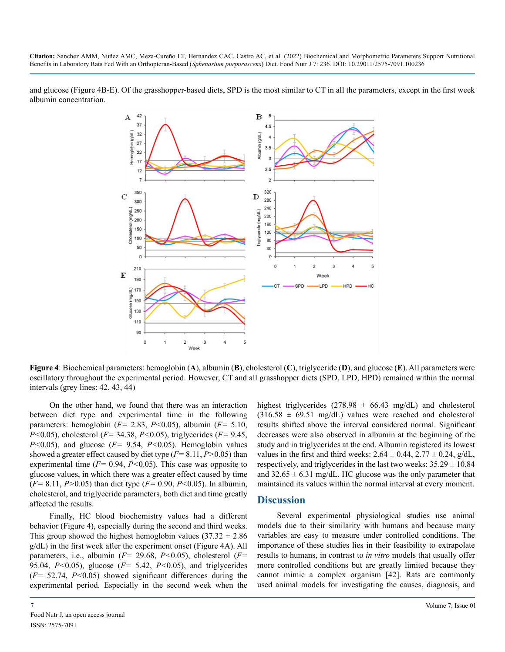and glucose (Figure 4B-E). Of the grasshopper-based diets, SPD is the most similar to CT in all the parameters, except in the first week albumin concentration.

![](_page_6_Figure_2.jpeg)

**Figure 4**: Biochemical parameters: hemoglobin (**A**), albumin (**B**), cholesterol (**C**), triglyceride (**D**), and glucose (**E**). All parameters were oscillatory throughout the experimental period. However, CT and all grasshopper diets (SPD, LPD, HPD) remained within the normal intervals (grey lines: 42, 43, 44)

On the other hand, we found that there was an interaction between diet type and experimental time in the following parameters: hemoglobin (*F=* 2.83, *P<*0.05), albumin (*F=* 5.10, *P<*0.05), cholesterol (*F=* 34.38, *P<*0.05), triglycerides (*F=* 9.45, *P<*0.05), and glucose (*F=* 9.54, *P<*0.05). Hemoglobin values showed a greater effect caused by diet type (*F=* 8.11, *P>*0.05) than experimental time (*F=* 0.94, *P<*0.05). This case was opposite to glucose values, in which there was a greater effect caused by time (*F=* 8.11, *P>*0.05) than diet type (*F=* 0.90, *P<*0.05). In albumin, cholesterol, and triglyceride parameters, both diet and time greatly affected the results.

Finally, HC blood biochemistry values had a different behavior (Figure 4), especially during the second and third weeks. This group showed the highest hemoglobin values  $(37.32 \pm 2.86)$ g/dL) in the first week after the experiment onset (Figure 4A). All parameters, i.e., albumin (*F=* 29.68, *P<*0.05), cholesterol (*F=*  95.04, *P<*0.05), glucose (*F=* 5.42, *P<*0.05), and triglycerides (*F=* 52.74, *P<*0.05) showed significant differences during the experimental period. Especially in the second week when the

highest triglycerides  $(278.98 \pm 66.43 \text{ mg/dL})$  and cholesterol  $(316.58 \pm 69.51 \text{ mg/dL})$  values were reached and cholesterol results shifted above the interval considered normal. Significant decreases were also observed in albumin at the beginning of the study and in triglycerides at the end. Albumin registered its lowest values in the first and third weeks:  $2.64 \pm 0.44$ ,  $2.77 \pm 0.24$ , g/dL, respectively, and triglycerides in the last two weeks:  $35.29 \pm 10.84$ and  $32.65 \pm 6.31$  mg/dL. HC glucose was the only parameter that maintained its values within the normal interval at every moment.

#### **Discussion**

Several experimental physiological studies use animal models due to their similarity with humans and because many variables are easy to measure under controlled conditions. The importance of these studies lies in their feasibility to extrapolate results to humans, in contrast to *in vitro* models that usually offer more controlled conditions but are greatly limited because they cannot mimic a complex organism [42]. Rats are commonly used animal models for investigating the causes, diagnosis, and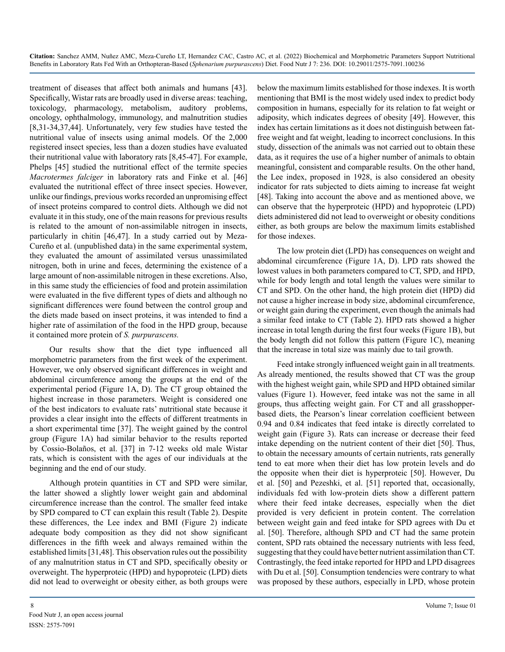treatment of diseases that affect both animals and humans [43]. Specifically, Wistar rats are broadly used in diverse areas: teaching, toxicology, pharmacology, metabolism, auditory problems, oncology, ophthalmology, immunology, and malnutrition studies [8,31-34,37,44]. Unfortunately, very few studies have tested the nutritional value of insects using animal models. Of the 2,000 registered insect species, less than a dozen studies have evaluated their nutritional value with laboratory rats [8,45-47]. For example, Phelps [45] studied the nutritional effect of the termite species *Macrotermes falciger* in laboratory rats and Finke et al. [46] evaluated the nutritional effect of three insect species. However, unlike our findings, previous works recorded an unpromising effect of insect proteins compared to control diets. Although we did not evaluate it in this study, one of the main reasons for previous results is related to the amount of non-assimilable nitrogen in insects, particularly in chitin [46,47]. In a study carried out by Meza-Cureño et al. (unpublished data) in the same experimental system, they evaluated the amount of assimilated versus unassimilated nitrogen, both in urine and feces, determining the existence of a large amount of non-assimilable nitrogen in these excretions. Also, in this same study the efficiencies of food and protein assimilation were evaluated in the five different types of diets and although no significant differences were found between the control group and the diets made based on insect proteins, it was intended to find a higher rate of assimilation of the food in the HPD group, because it contained more protein of *S. purpurascens.*

Our results show that the diet type influenced all morphometric parameters from the first week of the experiment. However, we only observed significant differences in weight and abdominal circumference among the groups at the end of the experimental period (Figure 1A, D). The CT group obtained the highest increase in those parameters. Weight is considered one of the best indicators to evaluate rats' nutritional state because it provides a clear insight into the effects of different treatments in a short experimental time [37]. The weight gained by the control group (Figure 1A) had similar behavior to the results reported by Cossio-Bolaños, et al. [37] in 7-12 weeks old male Wistar rats, which is consistent with the ages of our individuals at the beginning and the end of our study.

Although protein quantities in CT and SPD were similar, the latter showed a slightly lower weight gain and abdominal circumference increase than the control. The smaller feed intake by SPD compared to CT can explain this result (Table 2). Despite these differences, the Lee index and BMI (Figure 2) indicate adequate body composition as they did not show significant differences in the fifth week and always remained within the established limits [31,48]. This observation rules out the possibility of any malnutrition status in CT and SPD, specifically obesity or overweight. The hyperproteic (HPD) and hypoproteic (LPD) diets did not lead to overweight or obesity either, as both groups were

below the maximum limits established for those indexes. It is worth mentioning that BMI is the most widely used index to predict body composition in humans, especially for its relation to fat weight or adiposity, which indicates degrees of obesity [49]. However, this index has certain limitations as it does not distinguish between fatfree weight and fat weight, leading to incorrect conclusions. In this study, dissection of the animals was not carried out to obtain these data, as it requires the use of a higher number of animals to obtain meaningful, consistent and comparable results. On the other hand, the Lee index, proposed in 1928, is also considered an obesity indicator for rats subjected to diets aiming to increase fat weight [48]. Taking into account the above and as mentioned above, we can observe that the hyperproteic (HPD) and hypoproteic (LPD) diets administered did not lead to overweight or obesity conditions either, as both groups are below the maximum limits established for those indexes.

The low protein diet (LPD) has consequences on weight and abdominal circumference (Figure 1A, D). LPD rats showed the lowest values in both parameters compared to CT, SPD, and HPD, while for body length and total length the values were similar to CT and SPD. On the other hand, the high protein diet (HPD) did not cause a higher increase in body size, abdominal circumference, or weight gain during the experiment, even though the animals had a similar feed intake to CT (Table 2). HPD rats showed a higher increase in total length during the first four weeks (Figure 1B), but the body length did not follow this pattern (Figure 1C), meaning that the increase in total size was mainly due to tail growth.

Feed intake strongly influenced weight gain in all treatments. As already mentioned, the results showed that CT was the group with the highest weight gain, while SPD and HPD obtained similar values (Figure 1). However, feed intake was not the same in all groups, thus affecting weight gain. For CT and all grasshopperbased diets, the Pearson's linear correlation coefficient between 0.94 and 0.84 indicates that feed intake is directly correlated to weight gain (Figure 3). Rats can increase or decrease their feed intake depending on the nutrient content of their diet [50]. Thus, to obtain the necessary amounts of certain nutrients, rats generally tend to eat more when their diet has low protein levels and do the opposite when their diet is hyperproteic [50]. However, Du et al. [50] and Pezeshki, et al. [51] reported that, occasionally, individuals fed with low-protein diets show a different pattern where their feed intake decreases, especially when the diet provided is very deficient in protein content. The correlation between weight gain and feed intake for SPD agrees with Du et al. [50]. Therefore, although SPD and CT had the same protein content, SPD rats obtained the necessary nutrients with less feed, suggesting that they could have better nutrient assimilation than CT. Contrastingly, the feed intake reported for HPD and LPD disagrees with Du et al. [50]. Consumption tendencies were contrary to what was proposed by these authors, especially in LPD, whose protein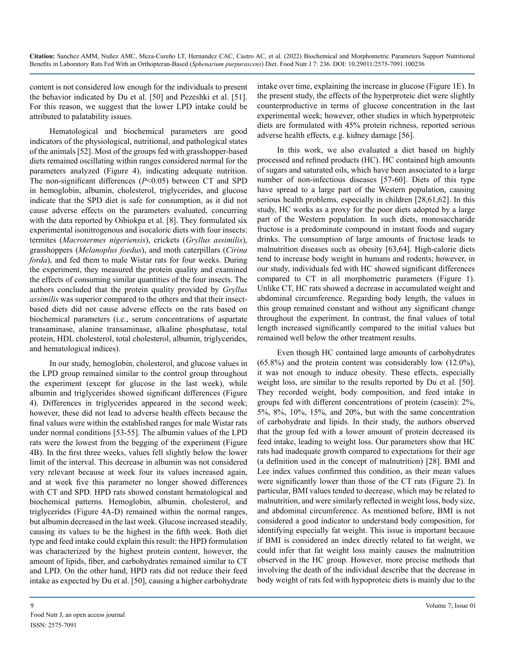content is not considered low enough for the individuals to present the behavior indicated by Du et al. [50] and Pezeshki et al. [51]. For this reason, we suggest that the lower LPD intake could be attributed to palatability issues.

Hematological and biochemical parameters are good indicators of the physiological, nutritional, and pathological states of the animals [52]. Most of the groups fed with grasshopper-based diets remained oscillating within ranges considered normal for the parameters analyzed (Figure 4), indicating adequate nutrition. The non-significant differences (*P*<0.05) between CT and SPD in hemoglobin, albumin, cholesterol, triglycerides, and glucose indicate that the SPD diet is safe for consumption, as it did not cause adverse effects on the parameters evaluated, concurring with the data reported by Oibiokpa et al. [8]. They formulated six experimental isonitrogenous and isocaloric diets with four insects: termites (*Macrotermes nigeriensis*), crickets (*Gryllus assimilis*), grasshoppers (*Melanoplus foedus*), and moth caterpillars (*Cirina forda*), and fed them to male Wistar rats for four weeks. During the experiment, they measured the protein quality and examined the effects of consuming similar quantities of the four insects. The authors concluded that the protein quality provided by *Gryllus assimilis* was superior compared to the others and that their insectbased diets did not cause adverse effects on the rats based on biochemical parameters (i.e., serum concentrations of aspartate transaminase, alanine transaminase, alkaline phosphatase, total protein, HDL cholesterol, total cholesterol, albumin, triglycerides, and hematological indices).

In our study, hemoglobin, cholesterol, and glucose values in the LPD group remained similar to the control group throughout the experiment (except for glucose in the last week), while albumin and triglycerides showed significant differences (Figure 4). Differences in triglycerides appeared in the second week; however, these did not lead to adverse health effects because the final values were within the established ranges for male Wistar rats under normal conditions [53-55]. The albumin values of the LPD rats were the lowest from the begging of the experiment (Figure 4B). In the first three weeks, values fell slightly below the lower limit of the interval. This decrease in albumin was not considered very relevant because at week four its values increased again, and at week five this parameter no longer showed differences with CT and SPD. HPD rats showed constant hematological and biochemical patterns. Hemoglobin, albumin, cholesterol, and triglycerides (Figure 4A-D) remained within the normal ranges, but albumin decreased in the last week. Glucose increased steadily, causing its values to be the highest in the fifth week. Both diet type and feed intake could explain this result: the HPD formulation was characterized by the highest protein content, however, the amount of lipids, fiber, and carbohydrates remained similar to CT and LPD. On the other hand, HPD rats did not reduce their feed intake as expected by Du et al. [50], causing a higher carbohydrate intake over time, explaining the increase in glucose (Figure 1E). In the present study, the effects of the hyperproteic diet were slightly counterproductive in terms of glucose concentration in the last experimental week; however, other studies in which hyperproteic diets are formulated with 45% protein richness, reported serious adverse health effects, e.g. kidney damage [56].

In this work, we also evaluated a diet based on highly processed and refined products (HC). HC contained high amounts of sugars and saturated oils, which have been associated to a large number of non-infectious diseases [57-60]. Diets of this type have spread to a large part of the Western population, causing serious health problems, especially in children [28,61,62]. In this study, HC works as a proxy for the poor diets adopted by a large part of the Western population. In such diets, monosaccharide fructose is a predominate compound in instant foods and sugary drinks. The consumption of large amounts of fructose leads to malnutrition diseases such as obesity [63,64]. High-calorie diets tend to increase body weight in humans and rodents; however, in our study, individuals fed with HC showed significant differences compared to CT in all morphometric parameters (Figure 1). Unlike CT, HC rats showed a decrease in accumulated weight and abdominal circumference. Regarding body length, the values in this group remained constant and without any significant change throughout the experiment. In contrast, the final values of total length increased significantly compared to the initial values but remained well below the other treatment results.

Even though HC contained large amounts of carbohydrates (65.8%) and the protein content was considerably low (12.0%), it was not enough to induce obesity. These effects, especially weight loss, are similar to the results reported by Du et al. [50]. They recorded weight, body composition, and feed intake in groups fed with different concentrations of protein (casein): 2%, 5%, 8%, 10%, 15%, and 20%, but with the same concentration of carbohydrate and lipids. In their study, the authors observed that the group fed with a lower amount of protein decreased its feed intake, leading to weight loss. Our parameters show that HC rats had inadequate growth compared to expectations for their age (a definition used in the concept of malnutrition) [28]. BMI and Lee index values confirmed this condition, as their mean values were significantly lower than those of the CT rats (Figure 2). In particular, BMI values tended to decrease, which may be related to malnutrition, and were similarly reflected in weight loss, body size, and abdominal circumference. As mentioned before, BMI is not considered a good indicator to understand body composition, for identifying especially fat weight. This issue is important because if BMI is considered an index directly related to fat weight, we could infer that fat weight loss mainly causes the malnutrition observed in the HC group. However, more precise methods that involving the death of the individual describe that the decrease in body weight of rats fed with hypoproteic diets is mainly due to the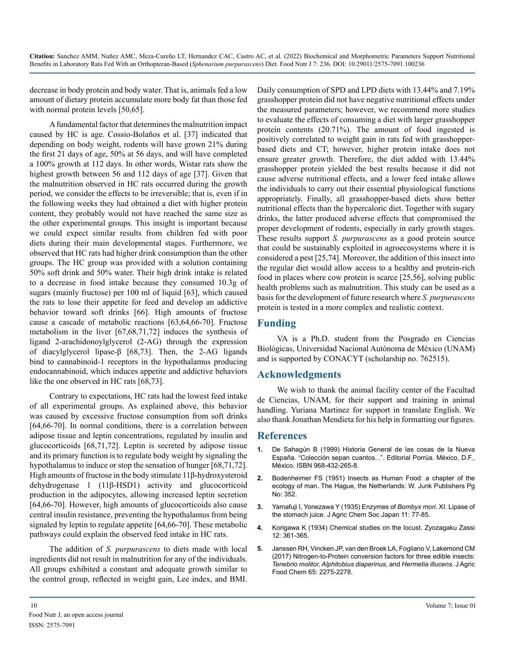decrease in body protein and body water. That is, animals fed a low amount of dietary protein accumulate more body fat than those fed with normal protein levels [50,65].

A fundamental factor that determines the malnutrition impact caused by HC is age. Cossio-Bolaños et al. [37] indicated that depending on body weight, rodents will have grown 21% during the first 21 days of age, 50% at 56 days, and will have completed a 100% growth at 112 days. In other words, Wistar rats show the highest growth between 56 and 112 days of age [37]. Given that the malnutrition observed in HC rats occurred during the growth period, we consider the effects to be irreversible; that is, even if in the following weeks they had obtained a diet with higher protein content, they probably would not have reached the same size as the other experimental groups. This insight is important because we could expect similar results from children fed with poor diets during their main developmental stages. Furthermore, we observed that HC rats had higher drink consumption than the other groups. The HC group was provided with a solution containing 50% soft drink and 50% water. Their high drink intake is related to a decrease in food intake because they consumed 10.3g of sugars (mainly fructose) per 100 ml of liquid [63], which caused the rats to lose their appetite for feed and develop an addictive behavior toward soft drinks [66]. High amounts of fructose cause a cascade of metabolic reactions [63,64,66-70]. Fructose metabolism in the liver [67,68,71,72] induces the synthesis of ligand 2-arachidonoylglycerol (2-AG) through the expression of diacylglycerol lipase-β [68,73]. Then, the 2-AG ligands bind to cannabinoid-1 receptors in the hypothalamus producing endocannabinoid, which induces appetite and addictive behaviors like the one observed in HC rats [68,73].

Contrary to expectations, HC rats had the lowest feed intake of all experimental groups. As explained above, this behavior was caused by excessive fructose consumption from soft drinks [64,66-70]. In normal conditions, there is a correlation between adipose tissue and leptin concentrations, regulated by insulin and glucocorticoids [68,71,72]. Leptin is secreted by adipose tissue and its primary function is to regulate body weight by signaling the hypothalamus to induce or stop the sensation of hunger [68,71,72]. High amounts of fructose in the body stimulate 11β-hydroxysteroid dehydrogenase 1 (11β-HSD1) activity and glucocorticoid production in the adipocytes, allowing increased leptin secretion [64,66-70]. However, high amounts of glucocorticoids also cause central insulin resistance, preventing the hypothalamus from being signaled by leptin to regulate appetite [64,66-70]. These metabolic pathways could explain the observed feed intake in HC rats.

The addition of *S. purpurascens* to diets made with local ingredients did not result in malnutrition for any of the individuals. All groups exhibited a constant and adequate growth similar to the control group, reflected in weight gain, Lee index, and BMI. Daily consumption of SPD and LPD diets with 13.44% and 7.19% grasshopper protein did not have negative nutritional effects under the measured parameters; however, we recommend more studies to evaluate the effects of consuming a diet with larger grasshopper protein contents (20.71%). The amount of food ingested is positively correlated to weight gain in rats fed with grasshopperbased diets and CT; however, higher protein intake does not ensure greater growth. Therefore, the diet added with 13.44% grasshopper protein yielded the best results because it did not cause adverse nutritional effects, and a lower feed intake allows the individuals to carry out their essential physiological functions appropriately. Finally, all grasshopper-based diets show better nutritional effects than the hypercaloric diet. Together with sugary drinks, the latter produced adverse effects that compromised the proper development of rodents, especially in early growth stages. These results support *S. purpurascens* as a good protein source that could be sustainably exploited in agroecosystems where it is considered a pest [25,74]. Moreover, the addition of this insect into the regular diet would allow access to a healthy and protein-rich food in places where cow protein is scarce [25,56], solving public health problems such as malnutrition. This study can be used as a basis for the development of future research where *S. purpurascens* protein is tested in a more complex and realistic context.

# **Funding**

VA is a Ph.D. student from the Posgrado en Ciencias Biológicas, Universidad Nacional Autónoma de México (UNAM) and is supported by CONACYT (scholarship no. 762515).

## **Acknowledgments**

We wish to thank the animal facility center of the Facultad de Ciencias, UNAM, for their support and training in animal handling. Yuriana Martinez for support in translate English. We also thank Jonathan Mendieta for his help in formatting our figures.

## **References**

- **1.** [De Sahagún B \(1999\) Historia General de las cosas de la Nueva](https://www.fao.org/3/i3253e/i3253e.pdf)  [España. "Colección sepan cuantos...". Editorial Porrúa. México, D.F.,](https://www.fao.org/3/i3253e/i3253e.pdf) [México. ISBN 968-432-265-8.](https://www.fao.org/3/i3253e/i3253e.pdf)
- **2.** Bodenheimer FS (1951) Insects as Human Food: a chapter of the ecology of man. The Hague, the Netherlands: W. Junk Publishers Pg No: 352.
- **3.** Yamafuji I, Yonezawa Y (1935) Enzymes of *Bombyx mori*. XI. Lipase of the stomach juice. J Agric Chem Soc Japan 11: 77-85.
- **4.** Korigawa K (1934) Chemical studies on the locust. Zyozagaku Zassi 12: 361-365.
- **5.** [Janssen RH, Vincken JP, van den Broek LA, Fogliano V, Lakemond CM](https://pubmed.ncbi.nlm.nih.gov/28252948/)  [\(2017\) Nitrogen-to-Protein conversion factors for three edible insects:](https://pubmed.ncbi.nlm.nih.gov/28252948/)  *[Tenebrio molitor, Alphitobius diaperinus,](https://pubmed.ncbi.nlm.nih.gov/28252948/)* and *Hermetia illucens*. J Agric [Food Chem 65: 2275-2278.](https://pubmed.ncbi.nlm.nih.gov/28252948/)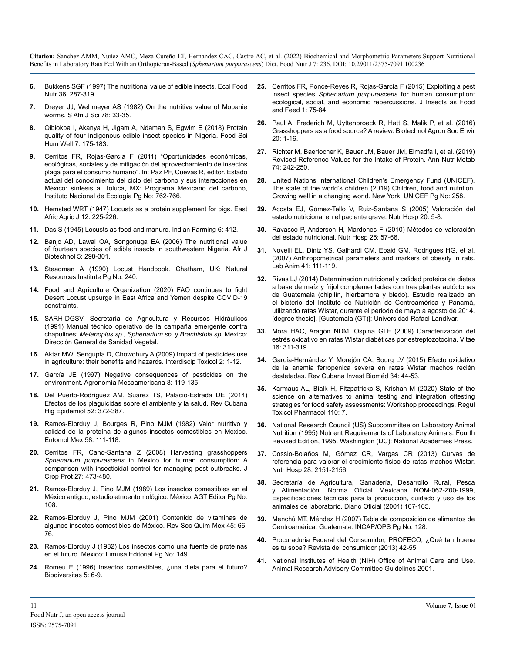- **6.** [Bukkens SGF \(1997\) The nutritional value of edible insects. Ecol Food](https://www.sciencedirect.com/science/article/pii/S2352364616300013)  [Nutr 36: 287-319.](https://www.sciencedirect.com/science/article/pii/S2352364616300013)
- **7.** Dreyer JJ, Wehmeyer AS (1982) On the nutritive value of Mopanie worms. S Afri J Sci 78: 33-35.
- **8.** [Oibiokpa I, Akanya H, Jigam A, Ndaman S, Egwim E \(2018\) Protein](https://pubag.nal.usda.gov/catalog/6125912)  [quality of four indigenous edible insect species in Nigeria. Food Sci](https://pubag.nal.usda.gov/catalog/6125912)  [Hum Well 7: 175-183.](https://pubag.nal.usda.gov/catalog/6125912)
- **9.** Cerritos FR, Rojas-García F (2011) "Oportunidades económicas, ecológicas, sociales y de mitigación del aprovechamiento de insectos plaga para el consumo humano". In: Paz PF, Cuevas R, editor. Estado actual del conocimiento del ciclo del carbono y sus interacciones en México: síntesis a. Toluca, MX: Programa Mexicano del carbono, Instituto Nacional de Ecología Pg No: 762-766.
- **10.** [Hemsted WRT \(1947\) Locusts as a protein supplement for pigs. East](https://www.semanticscholar.org/paper/Locusts-as-a-Protein-Supplement-for-Pigs-Hemsted/4c129bc63c958bb732a1c53fd0502abfa449648d)  [Afric Agric J 12: 225-226.](https://www.semanticscholar.org/paper/Locusts-as-a-Protein-Supplement-for-Pigs-Hemsted/4c129bc63c958bb732a1c53fd0502abfa449648d)
- **11.** Das S (1945) Locusts as food and manure. Indian Farming 6: 412.
- **12.** [Banjo AD, Lawal OA, Songonuga EA \(2006\) The nutritional value](https://tspace.library.utoronto.ca/bitstream/1807/6678/1/jb06047.pdf)  [of fourteen species of edible insects in southwestern Nigeria. Afr J](https://tspace.library.utoronto.ca/bitstream/1807/6678/1/jb06047.pdf) [Biotechnol 5: 298-301.](https://tspace.library.utoronto.ca/bitstream/1807/6678/1/jb06047.pdf)
- **13.** [Steadman A \(1990\) Locust Handbook. Chatham, UK: Natural](http://www.nzdl.org/cgi-bin/library?e=d-00000-00---off-0hdl--00-0----0-10-0---0---0direct-10---4-------0-1l--11-en-50---20-about---00-0-1-00-0--4----0-0-11-10-0utfZz-8-00&cl=CL1.10&d=HASHd1edbf77fbe3fa2e5e3da5>=2)  [Resources Institute Pg No: 240.](http://www.nzdl.org/cgi-bin/library?e=d-00000-00---off-0hdl--00-0----0-10-0---0---0direct-10---4-------0-1l--11-en-50---20-about---00-0-1-00-0--4----0-0-11-10-0utfZz-8-00&cl=CL1.10&d=HASHd1edbf77fbe3fa2e5e3da5>=2)
- **14.** [Food and Agriculture Organization \(2020\) FAO continues to fight](https://www.fao.org/resilience/news-events/detail/en/c/1270479/)  [Desert Locust upsurge in East Africa and Yemen despite COVID-19](https://www.fao.org/resilience/news-events/detail/en/c/1270479/)  [constraints.](https://www.fao.org/resilience/news-events/detail/en/c/1270479/)
- **15.** SARH-DGSV, Secretaría de Agricultura y Recursos Hidráulicos (1991) Manual técnico operativo de la campaña emergente contra chapulines: *Melanoplus sp., Sphenarium sp*. y *Brachistola sp*. Mexico: Dirección General de Sanidad Vegetal.
- **16.** [Aktar MW, Sengupta D, Chowdhury A \(2009\) Impact of pesticides use](https://www.ncbi.nlm.nih.gov/pmc/articles/PMC2984095/)  [in agriculture: their benefits and hazards. Interdiscip Toxicol 2: 1-12.](https://www.ncbi.nlm.nih.gov/pmc/articles/PMC2984095/)
- **17.** [García JE \(1997\) Negative consequences of pesticides on the](https://revistas.ucr.ac.cr/index.php/agromeso/article/view/24747)  [environment. Agronomía Mesoamericana 8: 119-135.](https://revistas.ucr.ac.cr/index.php/agromeso/article/view/24747)
- **18.** [Del Puerto-Rodríguez AM, Suárez TS, Palacio-Estrada DE \(2014\)](http://scielo.sld.cu/scielo.php?pid=S1561-30032014000300010&script=sci_abstract)  [Efectos de los plaguicidas sobre el ambiente y la salud. Rev Cubana](http://scielo.sld.cu/scielo.php?pid=S1561-30032014000300010&script=sci_abstract)  [Hig Epidemiol 52: 372-387.](http://scielo.sld.cu/scielo.php?pid=S1561-30032014000300010&script=sci_abstract)
- **19.** [Ramos-Elorduy J, Bourges R, Pino MJM \(1982\) Valor nutritivo y](https://biblat.unam.mx/es/revista/folia-entomologica-mexicana/articulo/valor-nutritivo-y-calidad-de-la-proteina-de-algunos-insectos-comestibles-de-mexico)  [calidad de la proteína de algunos insectos comestibles en México.](https://biblat.unam.mx/es/revista/folia-entomologica-mexicana/articulo/valor-nutritivo-y-calidad-de-la-proteina-de-algunos-insectos-comestibles-de-mexico) [Entomol Mex 58: 111-118.](https://biblat.unam.mx/es/revista/folia-entomologica-mexicana/articulo/valor-nutritivo-y-calidad-de-la-proteina-de-algunos-insectos-comestibles-de-mexico)
- **20.** [Cerritos FR, Cano-Santana Z \(2008\) Harvesting grasshoppers](https://www.sciencedirect.com/science/article/abs/pii/S026121940700186X)  *Sphenarium purpurascens* [in Mexico for human consumption: A](https://www.sciencedirect.com/science/article/abs/pii/S026121940700186X) [comparison with insecticidal control for managing pest outbreaks. J](https://www.sciencedirect.com/science/article/abs/pii/S026121940700186X)  [Crop Prot 27: 473-480.](https://www.sciencedirect.com/science/article/abs/pii/S026121940700186X)
- **21.** [Ramos-Elorduy J, Pino MJM \(1989\) Los insectos comestibles en el](https://www.worldcat.org/title/insectos-comestibles-en-el-mexico-antiguo-estudio-etnoentomologico/oclc/27484589)  [México antiguo, estudio etnoentomológico. México: AGT Editor Pg No:](https://www.worldcat.org/title/insectos-comestibles-en-el-mexico-antiguo-estudio-etnoentomologico/oclc/27484589)  [108.](https://www.worldcat.org/title/insectos-comestibles-en-el-mexico-antiguo-estudio-etnoentomologico/oclc/27484589)
- **22.** [Ramos-Elorduy J, Pino MJM \(2001\) Contenido de vitaminas de](http://www.scielo.org.mx/pdf/rsqm/v45n2/v45n2a6.pdf)  [algunos insectos comestibles de México. Rev Soc Quím Mex 45: 66-](http://www.scielo.org.mx/pdf/rsqm/v45n2/v45n2a6.pdf) [76.](http://www.scielo.org.mx/pdf/rsqm/v45n2/v45n2a6.pdf)
- **23.** [Ramos-Elorduy J \(1982\) Los insectos como una fuente de proteínas](https://www.worldcat.org/title/insectos-como-fuente-de-proteinas-en-el-futuro/oclc/14395430)  [en el futuro. Mexico: Limusa Editorial Pg No: 149.](https://www.worldcat.org/title/insectos-como-fuente-de-proteinas-en-el-futuro/oclc/14395430)
- **24.** [Romeu E \(1996\) Insectos comestibles, ¿una dieta para el futuro?](http://www.emmaromeu.com/yahoo_site_admin/assets/docs/Insectos_comestibles_Escrito_por_Emma_Romeu_Biodiversitas_5_CONABIO.152133809.pdf)  [Biodiversitas 5: 6-9.](http://www.emmaromeu.com/yahoo_site_admin/assets/docs/Insectos_comestibles_Escrito_por_Emma_Romeu_Biodiversitas_5_CONABIO.152133809.pdf)
- **25.** [Cerritos FR, Ponce-Reyes R, Rojas-García F \(2015\) Exploiting a pest](https://www.wageningenacademic.com/doi/10.3920/JIFF2014.0013)  insect species *[Sphenarium purpurascens](https://www.wageningenacademic.com/doi/10.3920/JIFF2014.0013)* for human consumption: [ecological, social, and economic repercussions. J Insects as Food](https://www.wageningenacademic.com/doi/10.3920/JIFF2014.0013)  [and Feed 1: 75-84.](https://www.wageningenacademic.com/doi/10.3920/JIFF2014.0013)
- **26.** Paul A, Frederich M, Uyttenbroeck R, Hatt S, Malik P, et al. (2016) Grasshoppers as a food source? A review. Biotechnol Agron Soc Envir 20: 1-16.
- **27.** [Richter M, Baerlocher K, Bauer JM, Bauer JM, Elmadfa I, et al. \(2019\)](https://pubmed.ncbi.nlm.nih.gov/30904906/#:~:text=Reference %2Dvalues (g protein%2F,adults %3E 65 years%3A 1.0.)  [Revised Reference Values for the Intake of Protein. Ann Nutr Metab](https://pubmed.ncbi.nlm.nih.gov/30904906/#:~:text=Reference %2Dvalues (g protein%2F,adults %3E 65 years%3A 1.0.) [74: 242-250.](https://pubmed.ncbi.nlm.nih.gov/30904906/#:~:text=Reference %2Dvalues (g protein%2F,adults %3E 65 years%3A 1.0.)
- **28.** United Nations International Children's Emergency Fund (UNICEF). The state of the world's children (2019) Children, food and nutrition. Growing well in a changing world. New York: UNICEF Pg No: 258.
- **29.** [Acosta EJ, Gómez-Tello V, Ruiz-Santana S \(2005\) Valoración del](https://scielo.isciii.es/scielo.php?script=sci_arttext&pid=S0212-16112005000500002)  [estado nutricional en el paciente grave. Nutr Hosp 20: 5-8.](https://scielo.isciii.es/scielo.php?script=sci_arttext&pid=S0212-16112005000500002)
- **30.** [Ravasco P, Anderson H, Mardones F \(2010\) Métodos de valoración](https://scielo.isciii.es/scielo.php?script=sci_arttext&pid=S0212-16112010000900009)  [del estado nutricional. Nutr Hosp 25: 57-66.](https://scielo.isciii.es/scielo.php?script=sci_arttext&pid=S0212-16112010000900009)
- **31.** [Novelli EL, Diniz YS, Galhardi CM, Ebaid GM, Rodrigues HG, et al.](https://pubmed.ncbi.nlm.nih.gov/17234057/#:~:text=Triacylglycerol (TG)%2C total cholesterol,HC rats than in C.&text=In conclusion%2C the BMI for,from the BMI in rats.) [\(2007\) Anthropometrical parameters and markers of obesity in rats.](https://pubmed.ncbi.nlm.nih.gov/17234057/#:~:text=Triacylglycerol (TG)%2C total cholesterol,HC rats than in C.&text=In conclusion%2C the BMI for,from the BMI in rats.) [Lab Anim 41: 111-119.](https://pubmed.ncbi.nlm.nih.gov/17234057/#:~:text=Triacylglycerol (TG)%2C total cholesterol,HC rats than in C.&text=In conclusion%2C the BMI for,from the BMI in rats.)
- **32.** [Rivas LJ \(2014\) Determinación nutricional y calidad proteica de dietas](http://biblio3.url.edu.gt/Tesario/2014/09/15/Rivas-Javier.pdf)  [a base de maíz y frijol complementadas con tres plantas autóctonas](http://biblio3.url.edu.gt/Tesario/2014/09/15/Rivas-Javier.pdf)  [de Guatemala \(chipilín, hierbamora y bledo\). Estudio realizado en](http://biblio3.url.edu.gt/Tesario/2014/09/15/Rivas-Javier.pdf)  [el bioterio del Instituto de Nutrición de Centroamérica y Panamá,](http://biblio3.url.edu.gt/Tesario/2014/09/15/Rivas-Javier.pdf)  [utilizando ratas Wistar, durante el periodo de mayo a agosto de 2014.](http://biblio3.url.edu.gt/Tesario/2014/09/15/Rivas-Javier.pdf)  [\[degree thesis\]. \[Guatemala \(GT\)\]: Universidad Rafael Landívar.](http://biblio3.url.edu.gt/Tesario/2014/09/15/Rivas-Javier.pdf)
- **33.** [Mora HAC, Aragón NDM, Ospina GLF \(2009\) Caracterización del](http://www.scielo.org.co/pdf/vitae/v16n3/v16n3a05.pdf)  [estrés oxidativo en ratas Wistar diabéticas por estreptozotocina. Vitae](http://www.scielo.org.co/pdf/vitae/v16n3/v16n3a05.pdf)  [16: 311-319.](http://www.scielo.org.co/pdf/vitae/v16n3/v16n3a05.pdf)
- **34.** [García-Hernández Y, Morejón CA, Bourg LV \(2015\) Efecto oxidativo](https://www.medigraphic.com/cgi-bin/new/resumen.cgi?IDARTICULO=59863)  [de la anemia ferropénica severa en ratas Wistar machos recién](https://www.medigraphic.com/cgi-bin/new/resumen.cgi?IDARTICULO=59863)  [destetadas. Rev Cubana Invest Bioméd 34: 44-53.](https://www.medigraphic.com/cgi-bin/new/resumen.cgi?IDARTICULO=59863)
- **35.** [Karmaus AL, Bialk H, Fitzpatrickc S, Krishan M \(2020\) State of the](https://pubmed.ncbi.nlm.nih.gov/31705943/)  [science on alternatives to animal testing and integration oftesting](https://pubmed.ncbi.nlm.nih.gov/31705943/)  [strategies for food safety assessments: Workshop proceedings. Regul](https://pubmed.ncbi.nlm.nih.gov/31705943/)  [Toxicol Pharmacol 110: 7.](https://pubmed.ncbi.nlm.nih.gov/31705943/)
- **36.** [National Research Council \(US\) Subcommittee on Laboratory Animal](https://pubmed.ncbi.nlm.nih.gov/25121259/)  [Nutrition \(1995\) Nutrient Requirements of Laboratory Animals: Fourth](https://pubmed.ncbi.nlm.nih.gov/25121259/)  [Revised Edition, 1995. Washington \(DC\): National Academies Press.](https://pubmed.ncbi.nlm.nih.gov/25121259/)
- **37.** [Cossio-Bolaños M, Gómez CR, Vargas CR \(2013\) Curvas de](https://scielo.isciii.es/scielo.php?script=sci_abstract&pid=S0212-16112013000600047)  [referencia para valorar el crecimiento físico de ratas machos Wistar.](https://scielo.isciii.es/scielo.php?script=sci_abstract&pid=S0212-16112013000600047) [Nutr Hosp 28: 2151-2156.](https://scielo.isciii.es/scielo.php?script=sci_abstract&pid=S0212-16112013000600047)
- **38.** Secretaría de Agricultura, Ganadería, Desarrollo Rural, Pesca y Alimentación. Norma Oficial Mexicana NOM-062-Z00-1999, Especificaciones técnicas para la producción, cuidado y uso de los animales de laboratorio. Diario Oficial (2001) 107-165.
- **39.** Menchú MT, Méndez H (2007) Tabla de composición de alimentos de Centroamérica. Guatemala: INCAP/OPS Pg No: 128.
- **40.** Procuraduria Federal del Consumidor, PROFECO, ¿Qué tan buena es tu sopa? Revista del consumidor (2013) 42-55.
- **41.** National Institutes of Health (NIH) Office of Animal Care and Use. Animal Research Advisory Committee Guidelines 2001.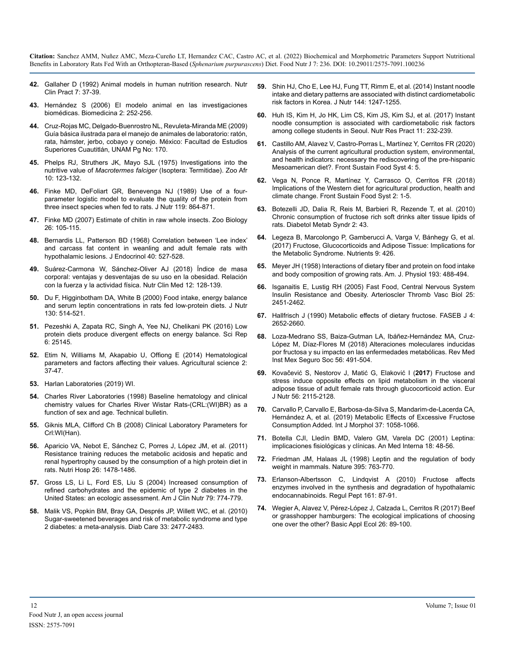- **42.** [Gallaher D \(1992\) Animal models in human nutrition research. Nutr](https://pubmed.ncbi.nlm.nih.gov/1293502/)  [Clin Pract 7: 37-39.](https://pubmed.ncbi.nlm.nih.gov/1293502/)
- **43.** [Hernández S \(2006\) El modelo animal en las investigaciones](https://dialnet.unirioja.es/servlet/articulo?codigo=3070252)  [biomédicas. Biomedicina 2: 252-256.](https://dialnet.unirioja.es/servlet/articulo?codigo=3070252)
- **44.** [Cruz-Rojas MC, Delgado-Buenrostro NL, Revuleta-Miranda ME \(2009\)](https://books.google.co.in/books/about/Gu%C3%ADa_b%C3%A1sica_ilustrada_para_el_manejo_d.html?id=vYu4YgEACAAJ&redir_esc=y)  [Guía básica ilustrada para el manejo de animales de laboratorio: ratón,](https://books.google.co.in/books/about/Gu%C3%ADa_b%C3%A1sica_ilustrada_para_el_manejo_d.html?id=vYu4YgEACAAJ&redir_esc=y)  [rata, hámster, jerbo, cobayo y conejo. México: Facultad de Estudios](https://books.google.co.in/books/about/Gu%C3%ADa_b%C3%A1sica_ilustrada_para_el_manejo_d.html?id=vYu4YgEACAAJ&redir_esc=y) [Superiores Cuautitlán, UNAM Pg No: 170.](https://books.google.co.in/books/about/Gu%C3%ADa_b%C3%A1sica_ilustrada_para_el_manejo_d.html?id=vYu4YgEACAAJ&redir_esc=y)
- **45.** [Phelps RJ, Struthers JK, Mayo SJL \(1975\) Investigations into the](https://www.tandfonline.com/doi/abs/10.1080/00445096.1975.11447501)  nutritive value of *Macrotermes falciger* [\(Isoptera: Termitidae\). Zoo Afr](https://www.tandfonline.com/doi/abs/10.1080/00445096.1975.11447501)  [10: 123-132.](https://www.tandfonline.com/doi/abs/10.1080/00445096.1975.11447501)
- **46.** [Finke MD, DeFoliart GR, Benevenga NJ \(1989\) Use of a four](https://pubmed.ncbi.nlm.nih.gov/2746371/)[parameter logistic model to evaluate the quality of the protein from](https://pubmed.ncbi.nlm.nih.gov/2746371/)  [three insect species when fed to rats. J Nutr 119: 864-871.](https://pubmed.ncbi.nlm.nih.gov/2746371/)
- **47.** [Finke MD \(2007\) Estimate of chitin in raw whole insects. Zoo Biology](https://pubmed.ncbi.nlm.nih.gov/19360565/) [26: 105-115.](https://pubmed.ncbi.nlm.nih.gov/19360565/)
- **48.** [Bernardis LL, Patterson BD \(1968\) Correlation between 'Lee index'](https://pubmed.ncbi.nlm.nih.gov/4868415/)  [and carcass fat content in weanling and adult female rats with](https://pubmed.ncbi.nlm.nih.gov/4868415/) [hypothalamic lesions. J Endocrinol 40: 527-528.](https://pubmed.ncbi.nlm.nih.gov/4868415/)
- **49.** [Suárez-Carmona W, Sánchez-Oliver AJ \(2018\) Índice de masa](http://www.aulamedica.es/nutricionclinicamedicina/pdf/5067.pdf)  [corporal: ventajas y desventajas de su uso en la obesidad. Relación](http://www.aulamedica.es/nutricionclinicamedicina/pdf/5067.pdf)  [con la fuerza y la actividad física. Nutr Clin Med 12: 128-139.](http://www.aulamedica.es/nutricionclinicamedicina/pdf/5067.pdf)
- **50.** [Du F, Higginbotham DA, White B \(2000\) Food intake, energy balance](https://pubmed.ncbi.nlm.nih.gov/10702578/#:~:text=The change in body fat,0.763%2C P %3C 0.001).)  [and serum leptin concentrations in rats fed low-protein diets. J Nutr](https://pubmed.ncbi.nlm.nih.gov/10702578/#:~:text=The change in body fat,0.763%2C P %3C 0.001).) [130: 514-521.](https://pubmed.ncbi.nlm.nih.gov/10702578/#:~:text=The change in body fat,0.763%2C P %3C 0.001).)
- **51.** [Pezeshki A, Zapata RC, Singh A, Yee NJ, Chelikani PK \(2016\) Low](https://pubmed.ncbi.nlm.nih.gov/27122299/)  [protein diets produce divergent effects on energy balance. Sci Rep](https://pubmed.ncbi.nlm.nih.gov/27122299/)  [6: 25145.](https://pubmed.ncbi.nlm.nih.gov/27122299/)
- **52.** [Etim N, Williams M, Akapabio U, Offiong E \(2014\) Hematological](https://citeseerx.ist.psu.edu/viewdoc/download?doi=10.1.1.845.9292&rep=rep1&type=pdf#:~:text=Dukes (1955) and Afolabi (,of individual and other factors.)  [parameters and factors affecting their values. Agricultural science 2:](https://citeseerx.ist.psu.edu/viewdoc/download?doi=10.1.1.845.9292&rep=rep1&type=pdf#:~:text=Dukes (1955) and Afolabi (,of individual and other factors.)  [37-47.](https://citeseerx.ist.psu.edu/viewdoc/download?doi=10.1.1.845.9292&rep=rep1&type=pdf#:~:text=Dukes (1955) and Afolabi (,of individual and other factors.)
- **53.** [Harlan Laboratories \(2019\) WI.](file:///C:/Users/phani/Desktop/../../ADMIN/Downloads/RatasWistarhojadedatos.pdf)
- **54.** [Charles River Laboratories \(1998\) Baseline hematology and clinical](https://www.criver.com/sites/default/files/resources/BaselineHematologyandClinicalChemistryValuesforCharlesRiverWistarRats%5BCrlWIBR%5DasaFunctionofSexandAgeSpring1998.pdf)  [chemistry values for Charles River Wistar Rats-\(CRL:\(WI\)BR\) as a](https://www.criver.com/sites/default/files/resources/BaselineHematologyandClinicalChemistryValuesforCharlesRiverWistarRats%5BCrlWIBR%5DasaFunctionofSexandAgeSpring1998.pdf) [function of sex and age. Technical bulletin.](https://www.criver.com/sites/default/files/resources/BaselineHematologyandClinicalChemistryValuesforCharlesRiverWistarRats%5BCrlWIBR%5DasaFunctionofSexandAgeSpring1998.pdf)
- **55.** [Giknis MLA, Clifford Ch B \(2008\) Clinical Laboratory Parameters for](https://www.criver.com/sites/default/files/resources/rm_rm_r_Wistar_Han_clin_lab_parameters_08.pdf)  [Crl:WI\(Han\).](https://www.criver.com/sites/default/files/resources/rm_rm_r_Wistar_Han_clin_lab_parameters_08.pdf)
- **56.** [Aparicio VA, Nebot E, Sánchez C, Porres J, López JM, et al. \(2011\)](https://pubmed.ncbi.nlm.nih.gov/22411399/) [Resistance training reduces the metabolic acidosis and hepatic and](https://pubmed.ncbi.nlm.nih.gov/22411399/)  [renal hypertrophy caused by the consumption of a high protein diet in](https://pubmed.ncbi.nlm.nih.gov/22411399/)  [rats. Nutri Hosp 26: 1478-1486.](https://pubmed.ncbi.nlm.nih.gov/22411399/)
- **57.** [Gross LS, Li L, Ford ES, Liu S \(2004\) Increased consumption of](https://pubmed.ncbi.nlm.nih.gov/15113714/) [refined carbohydrates and the epidemic of type 2 diabetes in the](https://pubmed.ncbi.nlm.nih.gov/15113714/)  [United States: an ecologic assessment. Am J Clin Nutr 79: 774-779.](https://pubmed.ncbi.nlm.nih.gov/15113714/)
- **58.** [Malik VS, Popkin BM, Bray GA, Després JP, Willett WC, et al. \(2010\)](https://pubmed.ncbi.nlm.nih.gov/20693348/)  [Sugar-sweetened beverages and risk of metabolic syndrome and type](https://pubmed.ncbi.nlm.nih.gov/20693348/) [2 diabetes: a meta-analysis. Diab Care 33: 2477-2483.](https://pubmed.ncbi.nlm.nih.gov/20693348/)
- **59.** [Shin HJ, Cho E, Lee HJ, Fung TT, Rimm E, et al. \(2014\) Instant noodle](https://pubmed.ncbi.nlm.nih.gov/24966409/)  [intake and dietary patterns are associated with distinct cardiometabolic](https://pubmed.ncbi.nlm.nih.gov/24966409/)  [risk factors in Korea. J Nutr 144: 1247-1255.](https://pubmed.ncbi.nlm.nih.gov/24966409/)
- **60.** [Huh IS, Kim H, Jo HK, Lim CS, Kim JS, Kim SJ, et al. \(2017\) Instant](https://pubmed.ncbi.nlm.nih.gov/28584580/#:~:text=In female students%2C diastolic blood,students aged 18%2D29 years.) [noodle consumption is associated with cardiometabolic risk factors](https://pubmed.ncbi.nlm.nih.gov/28584580/#:~:text=In female students%2C diastolic blood,students aged 18%2D29 years.)  [among college students in Seoul. Nutr Res Pract 11: 232-239.](https://pubmed.ncbi.nlm.nih.gov/28584580/#:~:text=In female students%2C diastolic blood,students aged 18%2D29 years.)
- **61.** [Castillo AM, Alavez V, Castro-Porras L, Martínez Y, Cerritos FR \(2020\)](https://www.frontiersin.org/articles/10.3389/fsufs.2020.00005/full)  [Analysis of the current agricultural production system, environmental,](https://www.frontiersin.org/articles/10.3389/fsufs.2020.00005/full)  [and health indicators: necessary the rediscovering of the pre-hispanic](https://www.frontiersin.org/articles/10.3389/fsufs.2020.00005/full)  [Mesoamerican diet?. Front Sustain Food Syst 4: 5.](https://www.frontiersin.org/articles/10.3389/fsufs.2020.00005/full)
- **62.** [Vega N, Ponce R, Martínez Y, Carrasco O, Cerritos FR \(2018\)](https://www.frontiersin.org/articles/10.3389/fsufs.2018.00088/full)  [Implications of the Western diet for agricultural production, health and](https://www.frontiersin.org/articles/10.3389/fsufs.2018.00088/full)  [climate change. Front Sustain Food Syst 2: 1-5.](https://www.frontiersin.org/articles/10.3389/fsufs.2018.00088/full)
- **63.** [Botezelli JD, Dalia R, Reis M, Barbieri R, Rezende T, et al. \(2010\)](https://pubmed.ncbi.nlm.nih.gov/20573247/)  [Chronic consumption of fructose rich soft drinks alter tissue lipids of](https://pubmed.ncbi.nlm.nih.gov/20573247/)  [rats. Diabetol Metab Syndr 2: 43.](https://pubmed.ncbi.nlm.nih.gov/20573247/)
- **64.** [Legeza B, Marcolongo P, Gamberucci A, Varga V, Bánhegy G, et al.](https://pubmed.ncbi.nlm.nih.gov/28445389/) [\(2017\) Fructose, Glucocorticoids and Adipose Tissue: Implications for](https://pubmed.ncbi.nlm.nih.gov/28445389/)  [the Metabolic Syndrome. Nutrients 9: 426.](https://pubmed.ncbi.nlm.nih.gov/28445389/)
- **65.** [Meyer JH \(1958\) Interactions of dietary fiber and protein on food intake](https://journals.physiology.org/doi/abs/10.1152/ajplegacy.1958.193.3.488)  [and body composition of growing rats. Am. J. Physiol 193: 488-494.](https://journals.physiology.org/doi/abs/10.1152/ajplegacy.1958.193.3.488)
- **66.** [Isganaitis E, Lustig RH \(2005\) Fast Food, Central Nervous System](https://pubmed.ncbi.nlm.nih.gov/16166564/) [Insulin Resistance and Obesity. Arterioscler Thromb Vasc Biol 25:](https://pubmed.ncbi.nlm.nih.gov/16166564/)  [2451-2462.](https://pubmed.ncbi.nlm.nih.gov/16166564/)
- **67.** [Hallfrisch J \(1990\) Metabolic effects of dietary fructose. FASEB J 4:](https://pubmed.ncbi.nlm.nih.gov/2189777/)  [2652-2660.](https://pubmed.ncbi.nlm.nih.gov/2189777/)
- **68.** [Loza-Medrano SS, Baiza-Gutman LA, Ibáñez-Hernández MA, Cruz-](https://www.medigraphic.com/pdfs/imss/im-2018/im185j.pdf)[López M, Díaz-Flores M \(2018\) Alteraciones moleculares inducidas](https://www.medigraphic.com/pdfs/imss/im-2018/im185j.pdf)  [por fructosa y su impacto en las enfermedades metabólicas. Rev Med](https://www.medigraphic.com/pdfs/imss/im-2018/im185j.pdf)  [Inst Mex Seguro Soc 56: 491-504.](https://www.medigraphic.com/pdfs/imss/im-2018/im185j.pdf)
- **69.** [Kovačević S, Nestorov J, Matić G, Elaković I \(](https://pubmed.ncbi.nlm.nih.gov/27324140/)**2017**) Fructose and [stress induce opposite effects on lipid metabolism in the visceral](https://pubmed.ncbi.nlm.nih.gov/27324140/)  [adipose tissue of adult female rats through glucocorticoid action. Eur](https://pubmed.ncbi.nlm.nih.gov/27324140/) [J Nutr 56: 2115-2128.](https://pubmed.ncbi.nlm.nih.gov/27324140/)
- **70.** Carvallo P, Carvallo E, Barbosa-da-Silva S, Mandarim-de-Lacerda CA, Hernández A, et al. (2019) Metabolic Effects of Excessive Fructose Consumption Added. Int J Morphol 37: 1058-1066.
- **71.** [Botella CJI, Lledín BMD, Valero GM, Varela DC \(2001\) Leptina:](https://scielo.isciii.es/scielo.php?script=sci_abstract&pid=S0212-71992001000300012#:~:text=Leptina%3A implicaciones fisiol%C3%B3gicas y cl%C3%ADnicas.&text=La leptina es una prote%C3%ADna,mutante asociado con obesidad m%C3%B3rbida.)  [implicaciones fisiológicas y clínicas. An Med Interna 18: 48-56.](https://scielo.isciii.es/scielo.php?script=sci_abstract&pid=S0212-71992001000300012#:~:text=Leptina%3A implicaciones fisiol%C3%B3gicas y cl%C3%ADnicas.&text=La leptina es una prote%C3%ADna,mutante asociado con obesidad m%C3%B3rbida.)
- **72.** [Friedman JM, Halaas JL \(1998\) Leptin and the regulation of body](https://www.nature.com/articles/27376#:~:text=Leptin acts as part of,endocrine responses is also seen.)  [weight in mammals. Nature 395: 763-770.](https://www.nature.com/articles/27376#:~:text=Leptin acts as part of,endocrine responses is also seen.)
- **73.** [Erlanson-Albertsson C, Lindqvist A \(2010\) Fructose affects](https://pubmed.ncbi.nlm.nih.gov/20085790/) [enzymes involved in the synthesis and degradation of hypothalamic](https://pubmed.ncbi.nlm.nih.gov/20085790/)  [endocannabinoids. Regul Pept 161: 87-91.](https://pubmed.ncbi.nlm.nih.gov/20085790/)
- **74.** [Wegier A, Alavez V, Pérez-López J, Calzada L, Cerritos R \(2017\) Beef](https://www.sciencedirect.com/science/article/abs/pii/S1439179117300324#:~:text=Based on the calculated FCRs,while simultaneously releasing maize for)  [or grasshopper hamburgers: The ecological implications of choosing](https://www.sciencedirect.com/science/article/abs/pii/S1439179117300324#:~:text=Based on the calculated FCRs,while simultaneously releasing maize for)  [one over the other? Basic Appl Ecol 26: 89-100.](https://www.sciencedirect.com/science/article/abs/pii/S1439179117300324#:~:text=Based on the calculated FCRs,while simultaneously releasing maize for)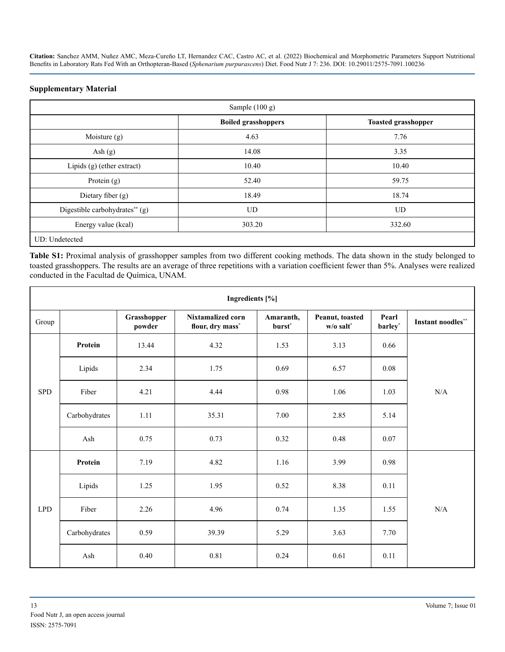#### **Supplementary Material**

| Sample (100 g)                 |                            |                            |  |  |  |
|--------------------------------|----------------------------|----------------------------|--|--|--|
|                                | <b>Boiled grasshoppers</b> | <b>Toasted grasshopper</b> |  |  |  |
| Moisture (g)                   | 4.63                       | 7.76                       |  |  |  |
| Ash $(g)$                      | 14.08                      | 3.35                       |  |  |  |
| Lipids $(g)$ (ether extract)   | 10.40                      | 10.40                      |  |  |  |
| Protein $(g)$                  | 52.40                      | 59.75                      |  |  |  |
| Dietary fiber (g)              | 18.49                      | 18.74                      |  |  |  |
| Digestible carbohydrates** (g) | <b>UD</b>                  | <b>UD</b>                  |  |  |  |
| Energy value (kcal)            | 303.20                     | 332.60                     |  |  |  |
| UD: Undetected                 |                            |                            |  |  |  |

**Table S1:** Proximal analysis of grasshopper samples from two different cooking methods. The data shown in the study belonged to toasted grasshoppers. The results are an average of three repetitions with a variation coefficient fewer than 5%. Analyses were realized conducted in the Facultad de Química, UNAM.

| Ingredients [%] |               |                       |                                              |                                 |                                |                  |                           |
|-----------------|---------------|-----------------------|----------------------------------------------|---------------------------------|--------------------------------|------------------|---------------------------|
| Group           |               | Grasshopper<br>powder | <b>Nixtamalized corn</b><br>flour, dry mass* | Amaranth,<br>burst <sup>*</sup> | Peanut, toasted<br>$w/o$ salt* | Pearl<br>barley* | <b>Instant noodles</b> ** |
|                 | Protein       | 13.44                 | 4.32                                         | 1.53                            | 3.13                           | 0.66             |                           |
|                 | Lipids        | 2.34                  | 1.75                                         | 0.69                            | 6.57                           | 0.08             |                           |
| <b>SPD</b>      | Fiber         | 4.21                  | 4.44                                         | 0.98                            | 1.06                           | 1.03             | N/A                       |
|                 | Carbohydrates | 1.11                  | 35.31                                        | 7.00                            | 2.85                           | 5.14             |                           |
|                 | Ash           | 0.75                  | 0.73                                         | 0.32                            | 0.48                           | 0.07             |                           |
|                 | Protein       | 7.19                  | 4.82                                         | 1.16                            | 3.99                           | 0.98             |                           |
|                 | Lipids        | 1.25                  | 1.95                                         | 0.52                            | 8.38                           | 0.11             |                           |
| <b>LPD</b>      | Fiber         | 2.26                  | 4.96                                         | 0.74                            | 1.35                           | 1.55             | $\rm N/A$                 |
|                 | Carbohydrates | 0.59                  | 39.39                                        | 5.29                            | 3.63                           | 7.70             |                           |
|                 | Ash           | 0.40                  | 0.81                                         | 0.24                            | 0.61                           | 0.11             |                           |